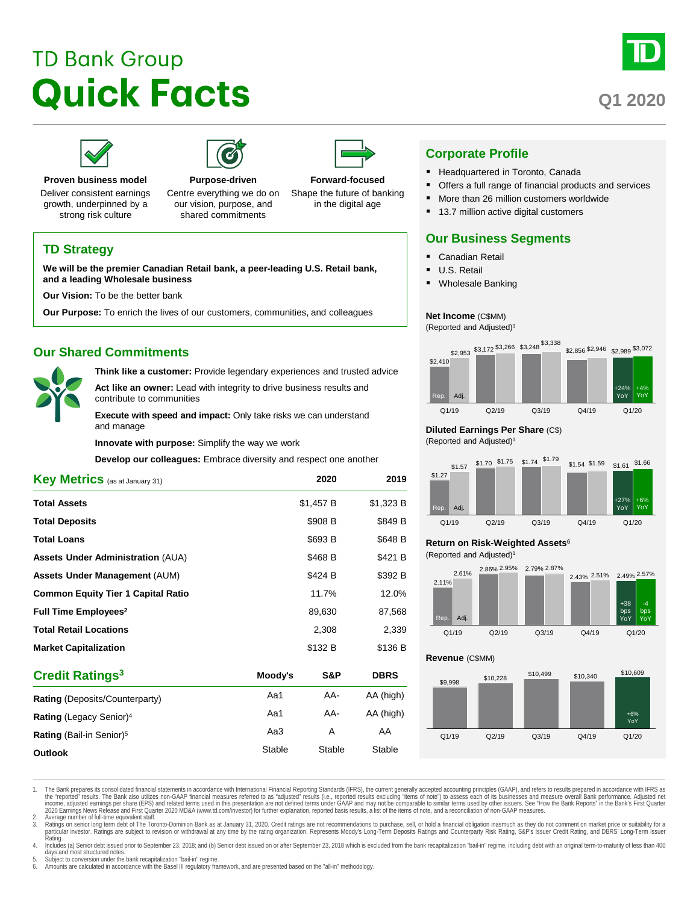# **TD Bank Group Quick Facts**



# **Q1 2020**





**Proven business model**

Deliver consistent earnings growth, underpinned by a strong risk culture

**and a leading Wholesale business Our Vision:** To be the better bank

**Our Shared Commitments**

and manage

contribute to communities

**TD Strategy**

our vision, purpose, and shared commitments

**Forward-focused** Shape the future of banking in the digital age



# **Corporate Profile**

- Headquartered in Toronto, Canada
- Offers a full range of financial products and services
- More than 26 million customers worldwide
- 13.7 million active digital customers

# **Our Business Segments**

- Canadian Retail
- U.S. Retail
- Wholesale Banking

### **Net Income** (C\$MM)

(Reported and Adjusted)1



### **Diluted Earnings Per Share** (C\$)

(Reported and Adjusted)1



# **Return on Risk-Weighted Assets**<sup>6</sup>

(Reported and Adjusted)1



**Revenue** (C\$MM)



**Assets Under Administration** (AUA)  $$468 B$  \$421 B **Assets Under Management** (AUM) **\$424 B** \$392 B **Common Equity Tier 1 Capital Ratio** 11.7% 12.0% **Full Time Employees<sup>2</sup> 89,630 87,568 Total Retail Locations** 2,308 2,339 **Market Capitalization 120 B 5136 B \$136 B** \$136 B **Credit Ratings3 Moody's S&P DBRS Rating** (Deposits/Counterparty) **Aand AA-** AA (high) **Rating** (Legacy Senior)<sup>4</sup> Aa1 AA- AA (high) **Rating** (Bail-in Senior)<sup>5</sup> Aa3 A AA

**Outlook** Stable Stable Stable Stable Stable

1. The Bank prepares its consolidated financial statements in accordance with International Financial Reporting Standards (IFRS), the current generally accepted accounting principles (GAAP), and refers to results prepared the "reported" results. The Bank also utilizes non-GAAP financial measures referred to as "adjusted" results (i.e., reported results excluding "items of note") to assess each of its businesses and measure overall Bank perf 2020 Earnings News Release and First Quarter 2020 MD&A (www.td.com/investor) for further explanation, reported basis results, a list of the items of note, and a reconciliation of non-GAAP measures.

2. Average number of full-lime equivalent staff.<br>3. Ratings on senior long term debt of The Toronto-Dominion Bank as at January 31, 2020. Credit ratings are not recommendations to purchase, sell, or hold a financial obliga Rating.

kanny.<br>4. Includes (a) Senior debt issued prior to September 23, 2018; and (b) Senior debt issued on or after September 23, 2018 which is excluded from the bank recapitalization "bail-in" regime, including debt with an ori

days and most structured notes. 5. Subject to conversion under the bank recapitalization "bail-in" regime.

6. Amounts are calculated in accordance with the Basel III regulatory framework, and are presented based on the "all-in" methodology.

**Purpose-driven** Centre everything we do on

**We will be the premier Canadian Retail bank, a peer-leading U.S. Retail bank,** 

**Our Purpose:** To enrich the lives of our customers, communities, and colleagues

**Key Metrics** (as at January 31) **2020 2019 Total Assets 51,457 B** \$1,323 B **Total Deposits by a strategies of the strategies of the strategies of the strategies of the strategies of the strategies of the strategies of the strategies of the strategies of the strategies of the strategies of the s Total Loans** \$648 B

**Innovate with purpose:** Simplify the way we work

**Think like a customer:** Provide legendary experiences and trusted advice **Act like an owner:** Lead with integrity to drive business results and

**Execute with speed and impact:** Only take risks we can understand

**Develop our colleagues:** Embrace diversity and respect one another